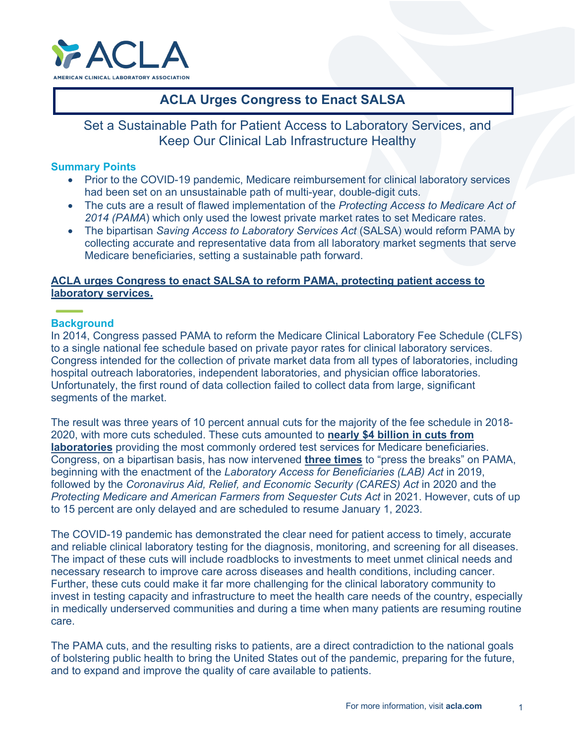

# **ACLA Urges Congress to Enact SALSA**

Set a Sustainable Path for Patient Access to Laboratory Services, and Keep Our Clinical Lab Infrastructure Healthy

### **Summary Points**

- Prior to the COVID-19 pandemic, Medicare reimbursement for clinical laboratory services had been set on an unsustainable path of multi-year, double-digit cuts.
- The cuts are a result of flawed implementation of the *Protecting Access to Medicare Act of*  2014 (PAMA) which only used the lowest private market rates to set Medicare rates.
- The bipartisan *Saving Access to Laboratory Services Act* (SALSA) would reform PAMA by collecting accurate and representative data from all laboratory market segments that serve Medicare beneficiaries, setting a sustainable path forward.

## **ACLA urges Congress to enact SALSA to reform PAMA, protecting patient access to laboratory services.**

## **Background**

In 2014, Congress passed PAMA to reform the Medicare Clinical Laboratory Fee Schedule (CLFS) to a single national fee schedule based on private payor rates for clinical laboratory services. Congress intended for the collection of private market data from all types of laboratories, including hospital outreach laboratories, independent laboratories, and physician office laboratories. Unfortunately, the first round of data collection failed to collect data from large, significant segments of the market.

The result was three years of 10 percent annual cuts for the majority of the fee schedule in 2018- 2020, with more cuts scheduled. These cuts amounted to **nearly \$4 billion in cuts from laboratories** providing the most commonly ordered test services for Medicare beneficiaries. Congress, on a bipartisan basis, has now intervened **three times** to "press the breaks" on PAMA, beginning with the enactment of the *Laboratory Access for Beneficiaries (LAB) Act* in 2019, followed by the *Coronavirus Aid, Relief, and Economic Security (CARES) Act* in 2020 and the *Protecting Medicare and American Farmers from Sequester Cuts Act* in 2021. However, cuts of up to 15 percent are only delayed and are scheduled to resume January 1, 2023.

The COVID-19 pandemic has demonstrated the clear need for patient access to timely, accurate and reliable clinical laboratory testing for the diagnosis, monitoring, and screening for all diseases. The impact of these cuts will include roadblocks to investments to meet unmet clinical needs and necessary research to improve care across diseases and health conditions, including cancer. Further, these cuts could make it far more challenging for the clinical laboratory community to invest in testing capacity and infrastructure to meet the health care needs of the country, especially in medically underserved communities and during a time when many patients are resuming routine care.

The PAMA cuts, and the resulting risks to patients, are a direct contradiction to the national goals of bolstering public health to bring the United States out of the pandemic, preparing for the future, and to expand and improve the quality of care available to patients.